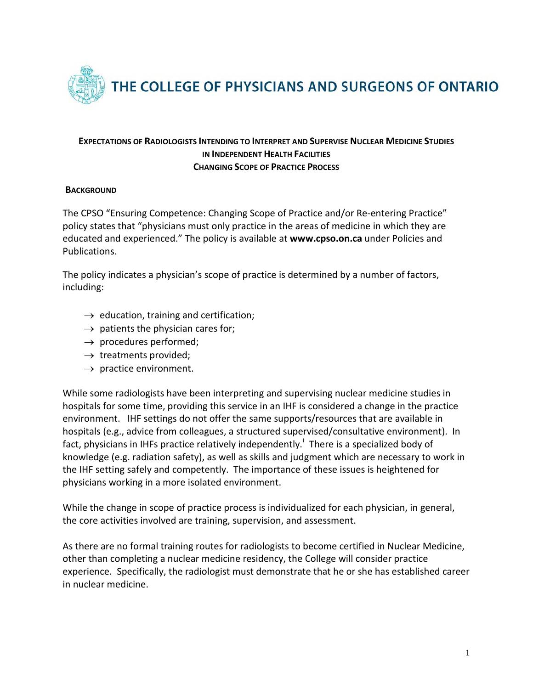

## **EXPECTATIONS OF RADIOLOGISTS INTENDING TO INTERPRET AND SUPERVISE NUCLEAR MEDICINE STUDIES IN INDEPENDENT HEALTH FACILITIES CHANGING SCOPE OF PRACTICE PROCESS**

## **BACKGROUND**

The CPSO "Ensuring Competence: Changing Scope of Practice and/or Re-entering Practice" policy states that "physicians must only practice in the areas of medicine in which they are educated and experienced." The policy is available at **[www.cpso.on.ca](http://www.cpso.on.ca/)** under Policies and Publications.

The policy indicates a physician's scope of practice is determined by a number of factors, including:

- $\rightarrow$  education, training and certification;
- $\rightarrow$  patients the physician cares for;
- $\rightarrow$  procedures performed;
- $\rightarrow$  treatments provided;
- $\rightarrow$  practice environment.

While some radiologists have been interpreting and supervising nuclear medicine studies in hospitals for some time, providing this service in an IHF is considered a change in the practice environment. IHF settings do not offer the same supports/resources that are available in hospitals (e.g., advice from colleagues, a structured supervised/consultative environment). In fact, phys[i](#page-4-0)cians in IHFs practice relatively independently.<sup>1</sup> There is a specialized body of knowledge (e.g. radiation safety), as well as skills and judgment which are necessary to work in the IHF setting safely and competently. The importance of these issues is heightened for physicians working in a more isolated environment.

While the change in scope of practice process is individualized for each physician, in general, the core activities involved are training, supervision, and assessment.

As there are no formal training routes for radiologists to become certified in Nuclear Medicine, other than completing a nuclear medicine residency, the College will consider practice experience. Specifically, the radiologist must demonstrate that he or she has established career in nuclear medicine.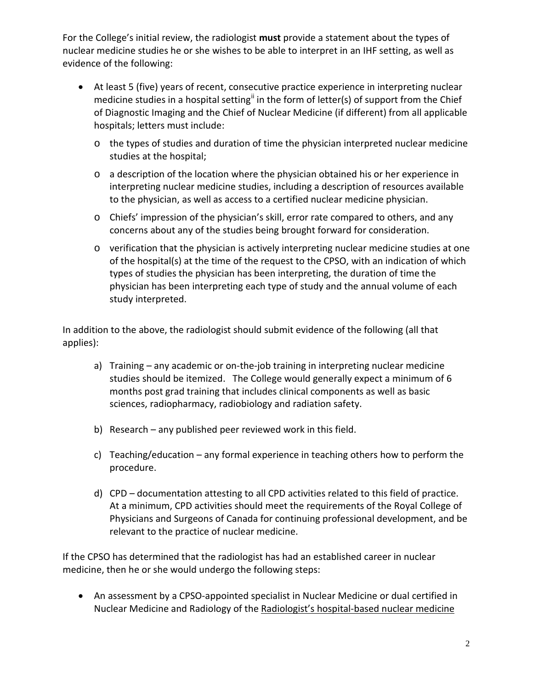For the College's initial review, the radiologist **must** provide a statement about the types of nuclear medicine studies he or she wishes to be able to interpret in an IHF setting, as well as evidence of the following:

- At least 5 (five) years of recent, consecutive practice experience in interpreting nuclear medicine studies in a hospital setting<sup>[ii](#page-4-1)</sup> in the form of letter(s) of support from the Chief of Diagnostic Imaging and the Chief of Nuclear Medicine (if different) from all applicable hospitals; letters must include:
	- o the types of studies and duration of time the physician interpreted nuclear medicine studies at the hospital;
	- o a description of the location where the physician obtained his or her experience in interpreting nuclear medicine studies, including a description of resources available to the physician, as well as access to a certified nuclear medicine physician.
	- o Chiefs' impression of the physician's skill, error rate compared to others, and any concerns about any of the studies being brought forward for consideration.
	- o verification that the physician is actively interpreting nuclear medicine studies at one of the hospital(s) at the time of the request to the CPSO, with an indication of which types of studies the physician has been interpreting, the duration of time the physician has been interpreting each type of study and the annual volume of each study interpreted.

In addition to the above, the radiologist should submit evidence of the following (all that applies):

- a) Training any academic or on-the-job training in interpreting nuclear medicine studies should be itemized. The College would generally expect a minimum of 6 months post grad training that includes clinical components as well as basic sciences, radiopharmacy, radiobiology and radiation safety.
- b) Research any published peer reviewed work in this field.
- c) Teaching/education any formal experience in teaching others how to perform the procedure.
- d) CPD documentation attesting to all CPD activities related to this field of practice. At a minimum, CPD activities should meet the requirements of the Royal College of Physicians and Surgeons of Canada for continuing professional development, and be relevant to the practice of nuclear medicine.

If the CPSO has determined that the radiologist has had an established career in nuclear medicine, then he or she would undergo the following steps:

• An assessment by a CPSO-appointed specialist in Nuclear Medicine or dual certified in Nuclear Medicine and Radiology of the Radiologist's hospital-based nuclear medicine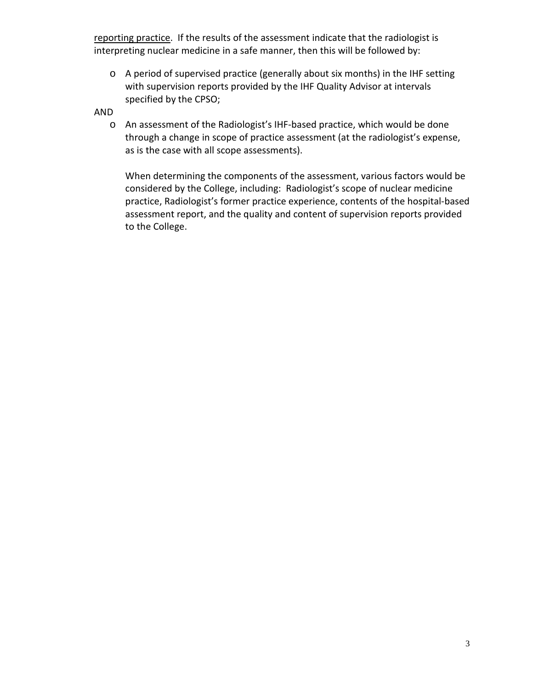reporting practice. If the results of the assessment indicate that the radiologist is interpreting nuclear medicine in a safe manner, then this will be followed by:

o A period of supervised practice (generally about six months) in the IHF setting with supervision reports provided by the IHF Quality Advisor at intervals specified by the CPSO;

## AND

o An assessment of the Radiologist's IHF-based practice, which would be done through a change in scope of practice assessment (at the radiologist's expense, as is the case with all scope assessments).

When determining the components of the assessment, various factors would be considered by the College, including: Radiologist's scope of nuclear medicine practice, Radiologist's former practice experience, contents of the hospital-based assessment report, and the quality and content of supervision reports provided to the College.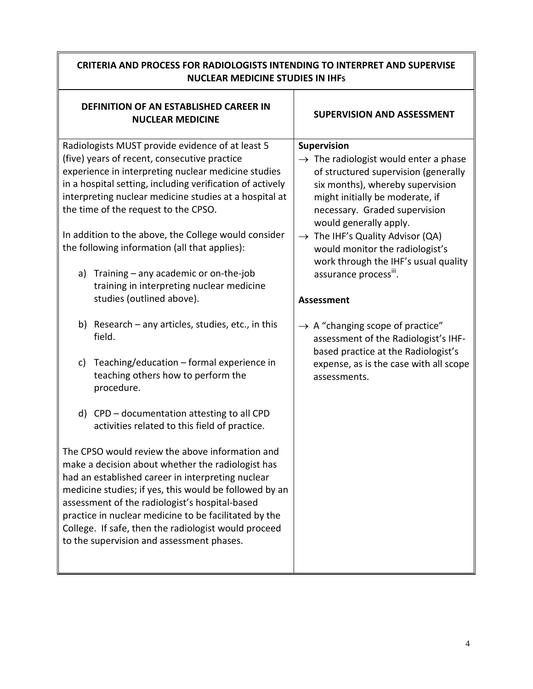## **CRITERIA AND PROCESS FOR RADIOLOGISTS INTENDING TO INTERPRET AND SUPERVISE NUCLEAR MEDICINE STUDIES IN IHFS**

| DEFINITION OF AN ESTABLISHED CAREER IN<br><b>NUCLEAR MEDICINE</b>                                                                                                                                                                                                                                                                                                                                                                                                                                                           | <b>SUPERVISION AND ASSESSMENT</b>                                                                                                                                                                                                                                                                                                                                                            |
|-----------------------------------------------------------------------------------------------------------------------------------------------------------------------------------------------------------------------------------------------------------------------------------------------------------------------------------------------------------------------------------------------------------------------------------------------------------------------------------------------------------------------------|----------------------------------------------------------------------------------------------------------------------------------------------------------------------------------------------------------------------------------------------------------------------------------------------------------------------------------------------------------------------------------------------|
| Radiologists MUST provide evidence of at least 5<br>(five) years of recent, consecutive practice<br>experience in interpreting nuclear medicine studies<br>in a hospital setting, including verification of actively<br>interpreting nuclear medicine studies at a hospital at<br>the time of the request to the CPSO.<br>In addition to the above, the College would consider<br>the following information (all that applies):<br>Training – any academic or on-the-job<br>a)<br>training in interpreting nuclear medicine | Supervision<br>$\rightarrow$ The radiologist would enter a phase<br>of structured supervision (generally<br>six months), whereby supervision<br>might initially be moderate, if<br>necessary. Graded supervision<br>would generally apply.<br>$\rightarrow$ The IHF's Quality Advisor (QA)<br>would monitor the radiologist's<br>work through the IHF's usual quality<br>assurance process". |
| studies (outlined above).                                                                                                                                                                                                                                                                                                                                                                                                                                                                                                   | <b>Assessment</b>                                                                                                                                                                                                                                                                                                                                                                            |
| b) Research - any articles, studies, etc., in this<br>field.                                                                                                                                                                                                                                                                                                                                                                                                                                                                | $\rightarrow$ A "changing scope of practice"<br>assessment of the Radiologist's IHF-<br>based practice at the Radiologist's<br>expense, as is the case with all scope<br>assessments.                                                                                                                                                                                                        |
| Teaching/education - formal experience in<br>c)<br>teaching others how to perform the<br>procedure.                                                                                                                                                                                                                                                                                                                                                                                                                         |                                                                                                                                                                                                                                                                                                                                                                                              |
| d) CPD - documentation attesting to all CPD<br>activities related to this field of practice.                                                                                                                                                                                                                                                                                                                                                                                                                                |                                                                                                                                                                                                                                                                                                                                                                                              |
| The CPSO would review the above information and<br>make a decision about whether the radiologist has<br>had an established career in interpreting nuclear<br>medicine studies; if yes, this would be followed by an<br>assessment of the radiologist's hospital-based<br>practice in nuclear medicine to be facilitated by the<br>College. If safe, then the radiologist would proceed<br>to the supervision and assessment phases.                                                                                         |                                                                                                                                                                                                                                                                                                                                                                                              |